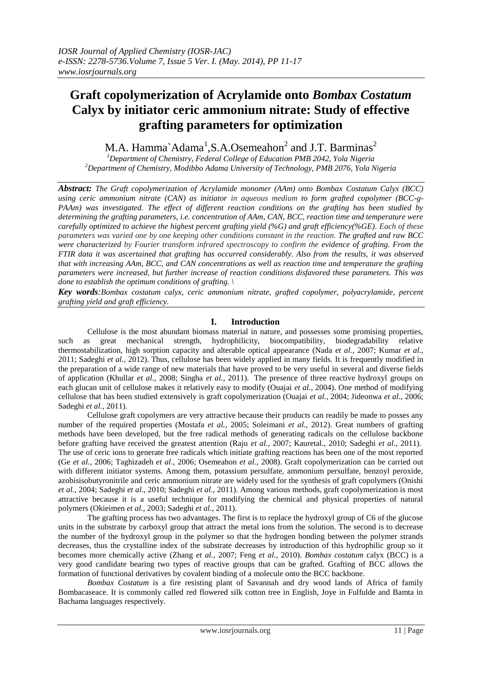# **Graft copolymerization of Acrylamide onto** *Bombax Costatum*  **Calyx by initiator ceric ammonium nitrate: Study of effective grafting parameters for optimization**

M.A. Hamma`Adama<sup>1</sup>,S.A.Osemeahon<sup>2</sup> and J.T. Barminas<sup>2</sup>

*<sup>1</sup>Department of Chemistry, Federal College of Education PMB 2042, Yola Nigeria <sup>2</sup>Department of Chemistry, Modibbo Adama University of Technology, PMB 2076, Yola Nigeria*

*Abstract: The Graft copolymerization of Acrylamide monomer (AAm) onto Bombax Costatum Calyx (BCC) using ceric ammonium nitrate (CAN) as initiator in aqueous medium to form grafted copolymer (BCC-g-PAAm) was investigated. The effect of different reaction conditions on the grafting has been studied by determining the grafting parameters, i.e. concentration of AAm, CAN, BCC, reaction time and temperature were carefully optimized to achieve the highest percent grafting yield (%G) and graft efficiency(%GE). Each of these parameters was varied one by one keeping other conditions constant in the reaction. The grafted and raw BCC were characterized by Fourier transform infrared spectroscopy to confirm the evidence of grafting. From the FTIR data it was ascertained that grafting has occurred considerably. Also from the results, it was observed that with increasing AAm, BCC, and CAN concentrations as well as reaction time and temperature the grafting parameters were increased, but further increase of reaction conditions disfavored these parameters. This was done to establish the optimum conditions of grafting. \*

*Key words:Bombax costatum calyx, ceric ammonium nitrate, grafted copolymer, polyacrylamide, percent grafting yield and graft efficiency.*

# **I. Introduction**

Cellulose is the most abundant biomass material in nature, and possesses some promising properties, such as great mechanical strength, hydrophilicity, biocompatibility, biodegradability relative thermostabilization, high sorption capacity and alterable optical appearance (Nada *et al.*, 2007; Kumar *et al.*, 2011; Sadeghi *et al.,* 2012). Thus, cellulose has been widely applied in many fields. It is frequently modified in the preparation of a wide range of new materials that have proved to be very useful in several and diverse fields of application (Khullar *et al.*, 2008; Singha *et al.*, 2011). The presence of three reactive hydroxyl groups on each glucan unit of cellulose makes it relatively easy to modify (Ouajai *et al.*, 2004). One method of modifying cellulose that has been studied extensively is graft copolymerization (Ouajai *et al.*, 2004; Jideonwa *et al*., 2006; Sadeghi *et al.,* 2011).

Cellulose graft copolymers are very attractive because their products can readily be made to posses any number of the required properties (Mostafa *et al.,* 2005; Soleimani *et al.,* 2012). Great numbers of grafting methods have been developed, but the free radical methods of generating radicals on the cellulose backbone before grafting have received the greatest attention (Raju *et al.*, 2007; Kauretal., 2010; Sadeghi *et al*., 2011). The use of ceric ions to generate free radicals which initiate grafting reactions has been one of the most reported (Ge *et al.*, 2006; Taghizadeh *et al*., 2006; Osemeahon *et al.*, 2008). Graft copolymerization can be carried out with different initiator systems. Among them, potassium persulfate, ammonium persulfate, benzoyl peroxide, azobisisobutyronitrile and ceric ammonium nitrate are widely used for the synthesis of graft copolymers (Onishi *et al.,* 2004; Sadeghi *et al.,* 2010; Sadeghi *et al.,* 2011). Among various methods, graft copolymerization is most attractive because it is a useful technique for modifying the chemical and physical properties of natural polymers (Okieimen *et al.*, 2003; Sadeghi *et al.,* 2011).

The grafting process has two advantages. The first is to replace the hydroxyl group of C6 of the glucose units in the substrate by carboxyl group that attract the metal ions from the solution. The second is to decrease the number of the hydroxyl group in the polymer so that the hydrogen bonding between the polymer strands decreases, thus the crystalline index of the substrate decreases by introduction of this hydrophilic group so it becomes more chemically active (Zhang *et al.,* 2007; Feng *et al.*, 2010). *Bombax costatum* calyx (BCC) is a very good candidate bearing two types of reactive groups that can be grafted. Grafting of BCC allows the formation of functional derivatives by covalent binding of a molecule onto the BCC backbone.

*Bombax Costatum* is a fire resisting plant of Savannah and dry wood lands of Africa of family Bombacaseace. It is commonly called red flowered silk cotton tree in English, Joye in Fulfulde and Bamta in Bachama languages respectively.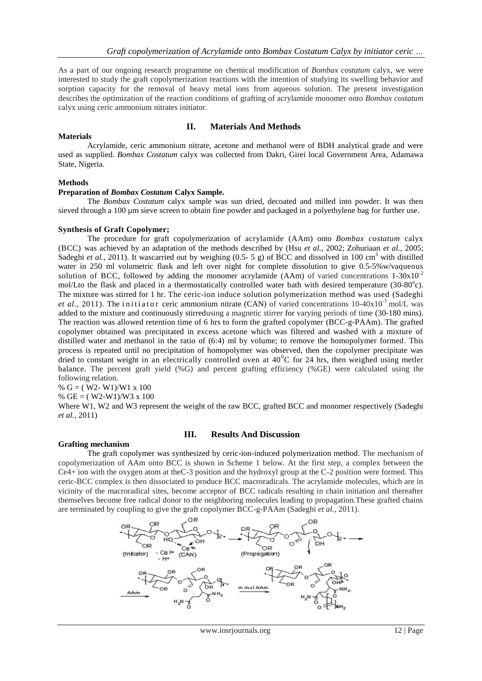As a part of our ongoing research programme on chemical modification of *Bombax costatum* calyx, we were interested to study the graft copolymerization reactions with the intention of studying its swelling behavior and sorption capacity for the removal of heavy metal ions from aqueous solution. The present investigation describes the optimization of the reaction conditions of grafting of acrylamide monomer onto *Bombax costatum*  calyx using ceric ammonium nitrates initiator.

# **II. Materials And Methods**

# **Materials**

Acrylamide, ceric ammonium nitrate, acetone and methanol were of BDH analytical grade and were used as supplied. *Bombax Costatum* calyx was collected from Dakri, Girei local Government Area, Adamawa State, Nigeria.

# **Methods**

## **Preparation of** *Bombax Costatum* **Calyx Sample.**

The *Bombax Costatum* calyx sample was sun dried, decoated and milled into powder. It was then sieved through a 100 µm sieve screen to obtain fine powder and packaged in a polyethylene bag for further use.

## **Synthesis of Graft Copolymer;**

The procedure for graft copolymerization of acrylamide (AAm) onto *Bombax costatum* calyx (BCC) was achieved by an adaptation of the methods described by (Hsu *et al.*, 2002; Zohuriaan *et al.*, 2005; Sadeghi et al., 2011). It wascarried out by weighing (0.5- 5 g) of BCC and dissolved in 100 cm<sup>3</sup> with distilled water in 250 ml volumetric flask and left over night for complete dissolution to give 0.5-5%w/vaqueous solution of BCC, followed by adding the monomer acrylamide (AAm) of varied concentrations  $1-30x10^{-2}$ mol/Lto the flask and placed in a thermostatically controlled water bath with desired temperature (30-80°c). The mixture was stirred for 1 hr. The ceric-ion induce solution polymerization method was used (Sadeghi *et al.*, 2011). The initiator ceric ammonium nitrate (CAN) of varied concentrations 10-40x10<sup>-3</sup> mol/L was added to the mixture and continuously stirredusing a magnetic stirrer for varying periods of time (30-180 mins). The reaction was allowed retention time of 6 hrs to form the grafted copolymer (BCC-g-PAAm). The grafted copolymer obtained was precipitated in excess acetone which was filtered and washed with a mixture of distilled water and methanol in the ratio of (6:4) ml by volume; to remove the homopolymer formed. This process is repeated until no precipitation of homopolymer was observed, then the copolymer precipitate was dried to constant weight in an electrically controlled oven at  $40^{\circ}$ C for 24 hrs, then weighed using metler balance. The percent graft yield (%G) and percent grafting efficiency (%GE) were calculated using the following relation.

% G = ( W2- W1)/W1 x 100

% GE =  $(W2-W1)/W3 \times 100$ 

Where W1, W2 and W3 represent the weight of the raw BCC, grafted BCC and monomer respectively (Sadeghi *et al.,* 2011)

# **Grafting mechanism**

# **III. Results And Discussion**

The graft copolymer was synthesized by ceric-ion-induced polymerization method. The mechanism of copolymerization of AAm onto BCC is shown in Scheme 1 below. At the first step, a complex between the Ce4+ ion with the oxygen atom at theC-3 position and the hydroxyl group at the C-2 position were formed. This ceric-BCC complex is then dissociated to produce BCC macroradicals. The acrylamide molecules, which are in vicinity of the macroradical sites, become acceptor of BCC radicals resulting in chain initiation and thereafter themselves become free radical donor to the neighboring molecules leading to propagation.These grafted chains are terminated by coupling to give the graft copolymer BCC-g-PAAm (Sadeghi *et al.,* 2011).

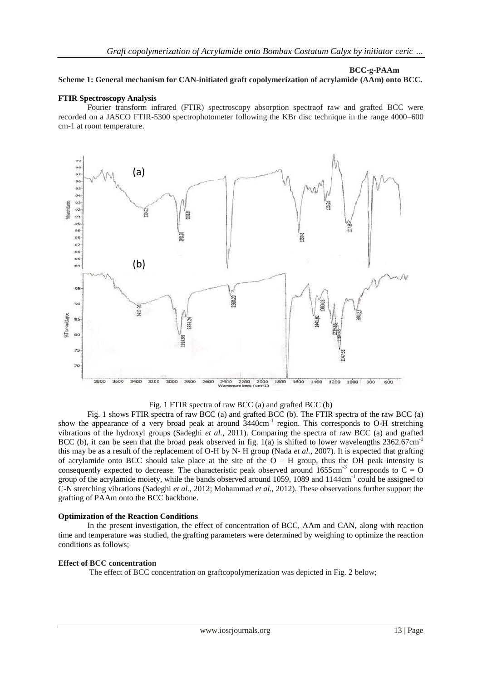#### **BCC-g-PAAm**

# **Scheme 1: General mechanism for CAN-initiated graft copolymerization of acrylamide (AAm) onto BCC.**

#### **FTIR Spectroscopy Analysis**

Fourier transform infrared (FTIR) spectroscopy absorption spectraof raw and grafted BCC were recorded on a JASCO FTIR-5300 spectrophotometer following the KBr disc technique in the range 4000–600 cm-1 at room temperature.



Fig. 1 FTIR spectra of raw BCC (a) and grafted BCC (b)

Fig. 1 shows FTIR spectra of raw BCC (a) and grafted BCC (b). The FTIR spectra of the raw BCC (a) show the appearance of a very broad peak at around 3440cm<sup>-1</sup> region. This corresponds to O-H stretching vibrations of the hydroxyl groups (Sadeghi *et al.*, 2011). Comparing the spectra of raw BCC (a) and grafted BCC (b), it can be seen that the broad peak observed in fig. 1(a) is shifted to lower wavelengths  $2362.67 \text{cm}^{-1}$ this may be as a result of the replacement of O-H by N- H group (Nada *et al.*, 2007). It is expected that grafting of acrylamide onto BCC should take place at the site of the  $O - H$  group, thus the OH peak intensity is consequently expected to decrease. The characteristic peak observed around 1655cm<sup>-3</sup> corresponds to  $C = O$ group of the acrylamide moiety, while the bands observed around 1059, 1089 and 1144cm<sup>-1</sup> could be assigned to C-N stretching vibrations (Sadeghi *et al.,* 2012; Mohammad *et al.,* 2012). These observations further support the grafting of PAAm onto the BCC backbone.

# **Optimization of the Reaction Conditions**

In the present investigation, the effect of concentration of BCC, AAm and CAN, along with reaction time and temperature was studied, the grafting parameters were determined by weighing to optimize the reaction conditions as follows;

#### **Effect of BCC concentration**

The effect of BCC concentration on graftcopolymerization was depicted in Fig. 2 below;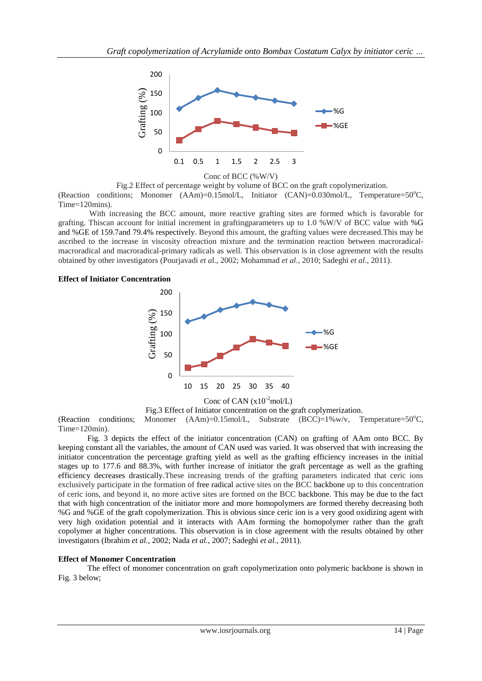

Conc of BCC (%W/V)

Fig.2 Effect of percentage weight by volume of BCC on the graft copolymerization.

(Reaction conditions; Monomer  $(AAm)=0.15 \text{ mol/L}$ , Initiator  $(CAN)=0.030 \text{ mol/L}$ , Temperature=50°C, Time=120mins).

With increasing the BCC amount, more reactive grafting sites are formed which is favorable for grafting. Thiscan account for initial increment in graftingparameters up to 1.0 %W/V of BCC value with %G and %GE of 159.7and 79.4% respectively. Beyond this amount, the grafting values were decreased.This may be ascribed to the increase in viscosity ofreaction mixture and the termination reaction between macroradicalmacroradical and macroradical-primary radicals as well. This observation is in close agreement with the results obtained by other investigators (Pourjavadi *et a*l., 2002; Mohammad *et al.,* 2010; Sadeghi *et al*., 2011).

#### **Effect of Initiator Concentration**



Fig.3 Effect of Initiator concentration on the graft coplymerization. (Reaction conditions; Monomer  $(AAm)=0.15 \text{ mol/L}$ , Substrate  $(BCC)=1\%$  w/v, Temperature=50°C, Time=120min).

Fig. 3 depicts the effect of the initiator concentration (CAN) on grafting of AAm onto BCC. By keeping constant all the variables, the amount of CAN used was varied. It was observed that with increasing the initiator concentration the percentage grafting yield as well as the grafting efficiency increases in the initial stages up to 177.6 and 88.3%, with further increase of initiator the graft percentage as well as the grafting efficiency decreases drastically.These increasing trends of the grafting parameters indicated that ceric ions exclusively participate in the formation of free radical active sites on the BCC backbone up to this concentration of ceric ions, and beyond it, no more active sites are formed on the BCC backbone. This may be due to the fact that with high concentration of the initiator more and more homopolymers are formed thereby decreasing both %G and %GE of the graft copolymerization. This is obvious since ceric ion is a very good oxidizing agent with very high oxidation potential and it interacts with AAm forming the homopolymer rather than the graft copolymer at higher concentrations. This observation is in close agreement with the results obtained by other investigators (Ibrahim *et al.*, 2002; Nada *et al.,* 2007; Sadeghi *et al.,* 2011).

# **Effect of Monomer Concentration**

The effect of monomer concentration on graft copolymerization onto polymeric backbone is shown in Fig. 3 below;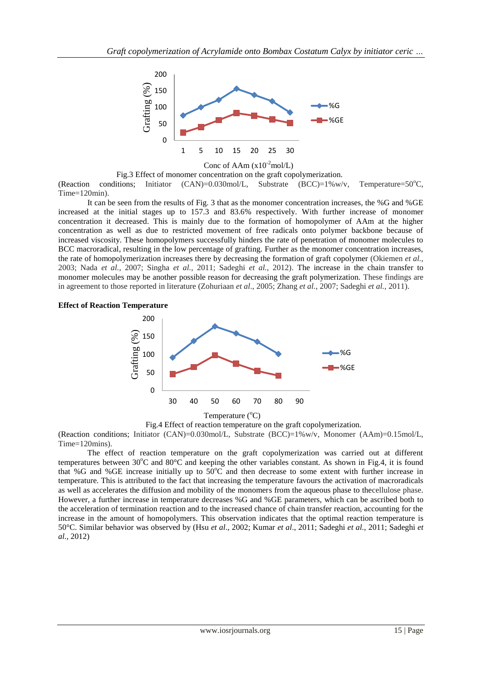

## Conc of AAm  $(x10^{-2}$ mol/L)

Fig.3 Effect of monomer concentration on the graft copolymerization. (Reaction conditions; Initiator  $(CAN)=0.030 \text{ mol/L}$ , Substrate  $(BCC)=1\%$  w/v, Temperature=50<sup>o</sup>C, Time=120min).

It can be seen from the results of Fig. 3 that as the monomer concentration increases, the %G and %GE increased at the initial stages up to 157.3 and 83.6% respectively. With further increase of monomer concentration it decreased. This is mainly due to the formation of homopolymer of AAm at the higher concentration as well as due to restricted movement of free radicals onto polymer backbone because of increased viscosity. These homopolymers successfully hinders the rate of penetration of monomer molecules to BCC macroradical, resulting in the low percentage of grafting. Further as the monomer concentration increases, the rate of homopolymerization increases there by decreasing the formation of graft copolymer (Okiemen *et al.,* 2003; Nada *et al.,* 2007; Singha *et al.,* 2011; Sadeghi *et al.*, 2012). The increase in the chain transfer to monomer molecules may be another possible reason for decreasing the graft polymerization. These findings are in agreement to those reported in literature (Zohuriaan *et al*., 2005; Zhang *et al.*, 2007; Sadeghi *et al.*, 2011).

# **Effect of Reaction Temperature**



Fig.4 Effect of reaction temperature on the graft copolymerization.

(Reaction conditions; Initiator (CAN)=0.030mol/L, Substrate (BCC)=1%w/v, Monomer (AAm)=0.15mol/L, Time=120mins).

The effect of reaction temperature on the graft copolymerization was carried out at different temperatures between  $30^{\circ}$ C and  $80^{\circ}$ C and keeping the other variables constant. As shown in Fig.4, it is found that %G and %GE increase initially up to  $50^{\circ}$ C and then decrease to some extent with further increase in temperature. This is attributed to the fact that increasing the temperature favours the activation of macroradicals as well as accelerates the diffusion and mobility of the monomers from the aqueous phase to thecellulose phase. However, a further increase in temperature decreases %G and %GE parameters, which can be ascribed both to the acceleration of termination reaction and to the increased chance of chain transfer reaction, accounting for the increase in the amount of homopolymers. This observation indicates that the optimal reaction temperature is 50°C. Similar behavior was observed by (Hsu *et al*., 2002; Kumar *et al*., 2011; Sadeghi *et al.,* 2011; Sadeghi *et al.,* 2012)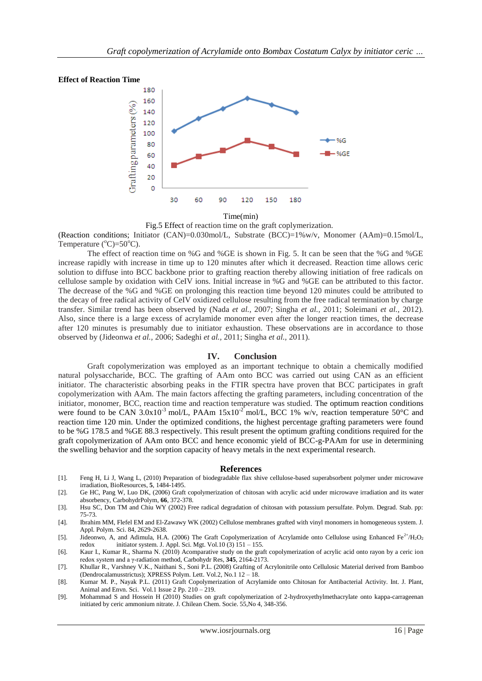#### **Effect of Reaction Time**



Time(min)

Fig.5 Effect of reaction time on the graft coplymerization.

(Reaction conditions; Initiator (CAN)=0.030mol/L, Substrate (BCC)=1%w/v, Monomer (AAm)=0.15mol/L, Temperature  $(^{\circ}C) = 50^{\circ}C$ ).

The effect of reaction time on %G and %GE is shown in Fig. 5. It can be seen that the %G and %GE increase rapidly with increase in time up to 120 minutes after which it decreased. Reaction time allows ceric solution to diffuse into BCC backbone prior to grafting reaction thereby allowing initiation of free radicals on cellulose sample by oxidation with CeIV ions. Initial increase in %G and %GE can be attributed to this factor. The decrease of the %G and %GE on prolonging this reaction time beyond 120 minutes could be attributed to the decay of free radical activity of CeIV oxidized cellulose resulting from the free radical termination by charge transfer. Similar trend has been observed by (Nada *et al.*, 2007; Singha *et al.,* 2011; Soleimani *et al.,* 2012). Also, since there is a large excess of acrylamide monomer even after the longer reaction times, the decrease after 120 minutes is presumably due to initiator exhaustion. These observations are in accordance to those observed by (Jideonwa *et al.,* 2006; Sadeghi *et al.,* 2011; Singha *et al.,* 2011).

#### **IV. Conclusion**

Graft copolymerization was employed as an important technique to obtain a chemically modified natural polysaccharide, BCC. The grafting of AAm onto BCC was carried out using CAN as an efficient initiator. The characteristic absorbing peaks in the FTIR spectra have proven that BCC participates in graft copolymerization with AAm. The main factors affecting the grafting parameters, including concentration of the initiator, monomer, BCC, reaction time and reaction temperature was studied. The optimum reaction conditions were found to be CAN 3.0x10<sup>-3</sup> mol/L, PAAm 15x10<sup>-2</sup> mol/L, BCC 1% w/v, reaction temperature 50°C and reaction time 120 min. Under the optimized conditions, the highest percentage grafting parameters were found to be %G 178.5 and %GE 88.3 respectively. This result present the optimum grafting conditions required for the graft copolymerization of AAm onto BCC and hence economic yield of BCC-g-PAAm for use in determining the swelling behavior and the sorption capacity of heavy metals in the next experimental research.

#### **References**

- [1]. Feng H, Li J, Wang L, (2010) Preparation of biodegradable flax shive cellulose-based superabsorbent polymer under microwave irradiation, BioResources, **5**, 1484-1495.
- [2]. Ge HC, Pang W, Luo DK, (2006) Graft copolymerization of chitosan with acrylic acid under microwave irradiation and its water absorbency, CarbohydrPolym, **66**, 372-378.
- [3]. Hsu SC, Don TM and Chiu WY (2002) Free radical degradation of chitosan with potassium persulfate. Polym. Degrad. Stab. pp: 75-73.
- [4]. Ibrahim MM, Flefel EM and El-Zawawy WK (2002) Cellulose membranes grafted with vinyl monomers in homogeneous system. J. Appl. Polym. Sci. 84, 2629-2638.
- [5]. Jideonwo, A, and Adimula, H.A. (2006) The Graft Copolymerization of Acrylamide onto Cellulose using Enhanced Fe<sup>2+</sup>/H<sub>2</sub>O<sub>2</sub> redox initiator system. J. Appl. Sci. Mgt. Vol.10 (3) 151 155. initiator system. J. Appl. Sci. Mgt. Vol.10 (3) 151 – 155.
- [6]. Kaur I., Kumar R., Sharma N. (2010) Acomparative study on the graft copolymerization of acrylic acid onto rayon by a ceric ion redox system and a γ-radiation method, Carbohydr Res, **345**, 2164-2173.
- [7]. Khullar R., Varshney V.K., Naithani S., Soni P.L. (2008) Grafting of Acrylonitrile onto Cellulosic Material derived from Bamboo (Dendrocalamusstrictus); XPRESS Polym. Lett. Vol.2, No.1 12 – 18.
- [8]. Kumar M. P., Nayak P.L. (2011) Graft Copolymerization of Acrylamide onto Chitosan for Antibacterial Activity. Int. J. Plant, Animal and Envn. Sci. Vol.1 Issue 2 Pp. 210 – 219.
- [9]. Mohammad S and Hossein H (2010) Studies on graft copolymerization of 2-hydroxyethylmethacrylate onto kappa-carrageenan initiated by ceric ammonium nitrate. J. Chilean Chem. Socie. 55,No 4, 348-356.